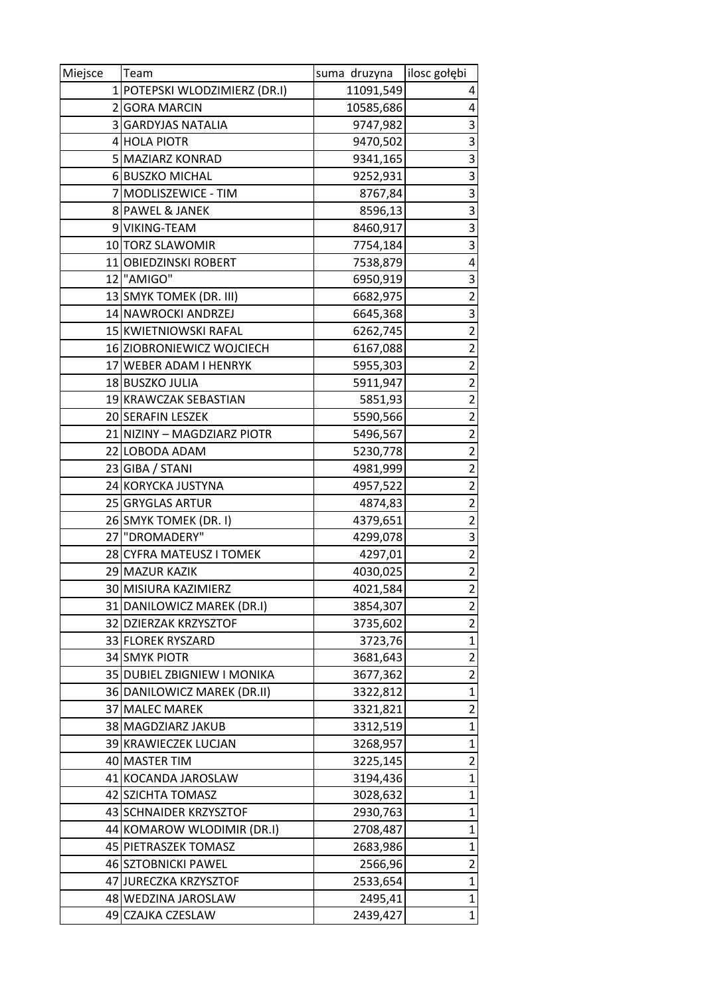| Miejsce | Team                          | suma druzyna | ilosc gołębi            |
|---------|-------------------------------|--------------|-------------------------|
|         | 1 POTEPSKI WLODZIMIERZ (DR.I) | 11091,549    | 4                       |
|         | 2 GORA MARCIN                 | 10585,686    | 4                       |
|         | 3 GARDYJAS NATALIA            | 9747,982     | 3                       |
|         | 4 HOLA PIOTR                  | 9470,502     | 3                       |
|         | 5 MAZIARZ KONRAD              | 9341,165     | 3                       |
|         | 6 BUSZKO MICHAL               | 9252,931     | 3                       |
|         | 7 MODLISZEWICE - TIM          | 8767,84      | $\mathbf{3}$            |
|         | 8 PAWEL & JANEK               | 8596,13      | $\overline{\mathbf{3}}$ |
|         | 9 VIKING-TEAM                 | 8460,917     | 3                       |
|         | 10 TORZ SLAWOMIR              | 7754,184     | 3                       |
|         | 11 OBIEDZINSKI ROBERT         | 7538,879     | 4                       |
|         | 12 "AMIGO"                    | 6950,919     | 3                       |
|         | 13 SMYK TOMEK (DR. III)       | 6682,975     | $\overline{2}$          |
|         | 14 NAWROCKI ANDRZEJ           | 6645,368     | 3                       |
|         | 15 KWIETNIOWSKI RAFAL         | 6262,745     | $\mathbf 2$             |
|         | 16 ZIOBRONIEWICZ WOJCIECH     | 6167,088     | $\overline{2}$          |
|         | 17 WEBER ADAM I HENRYK        | 5955,303     | $\overline{c}$          |
|         | 18 BUSZKO JULIA               | 5911,947     | 2                       |
|         | 19 KRAWCZAK SEBASTIAN         | 5851,93      | $\overline{2}$          |
|         | 20 SERAFIN LESZEK             | 5590,566     | $\overline{2}$          |
|         | 21 NIZINY - MAGDZIARZ PIOTR   | 5496,567     | $\overline{2}$          |
|         | 22 LOBODA ADAM                | 5230,778     | $\overline{2}$          |
|         | 23 GIBA / STANI               | 4981,999     | $\overline{2}$          |
|         | 24 KORYCKA JUSTYNA            | 4957,522     | $\overline{2}$          |
|         | 25 GRYGLAS ARTUR              | 4874,83      | $\overline{2}$          |
|         | 26 SMYK TOMEK (DR. I)         | 4379,651     | $\overline{2}$          |
|         | 27 "DROMADERY"                | 4299,078     | $\overline{\mathbf{3}}$ |
|         | 28 CYFRA MATEUSZ I TOMEK      | 4297,01      | $\overline{c}$          |
|         | 29 MAZUR KAZIK                | 4030,025     | $\overline{2}$          |
|         | 30 MISIURA KAZIMIERZ          | 4021,584     | $\overline{2}$          |
|         | 31 DANILOWICZ MAREK (DR.I)    | 3854,307     | 2                       |
|         | 32 DZIERZAK KRZYSZTOF         | 3735,602     | 2                       |
|         | 33 FLOREK RYSZARD             | 3723,76      | $\mathbf{1}$            |
|         | 34 SMYK PIOTR                 | 3681,643     | $\overline{2}$          |
|         | 35 DUBIEL ZBIGNIEW I MONIKA   | 3677,362     | 2                       |
|         | 36 DANILOWICZ MAREK (DR.II)   | 3322,812     | $\mathbf{1}$            |
|         | 37 MALEC MAREK                | 3321,821     | 2                       |
|         | 38 MAGDZIARZ JAKUB            | 3312,519     | 1                       |
|         | 39 KRAWIECZEK LUCJAN          | 3268,957     | $\mathbf{1}$            |
|         | 40 MASTER TIM                 | 3225,145     | 2                       |
|         | 41 KOCANDA JAROSLAW           | 3194,436     | $\mathbf{1}$            |
|         | 42 SZICHTA TOMASZ             | 3028,632     | 1                       |
|         | 43 SCHNAIDER KRZYSZTOF        | 2930,763     | 1                       |
|         | 44 KOMAROW WLODIMIR (DR.I)    | 2708,487     | 1                       |
|         | 45 PIETRASZEK TOMASZ          | 2683,986     | 1                       |
|         | 46 SZTOBNICKI PAWEL           | 2566,96      | 2                       |
|         | 47 JURECZKA KRZYSZTOF         | 2533,654     | $\mathbf{1}$            |
|         | 48 WEDZINA JAROSLAW           | 2495,41      | 1                       |
|         | 49 CZAJKA CZESLAW             | 2439,427     | 1                       |